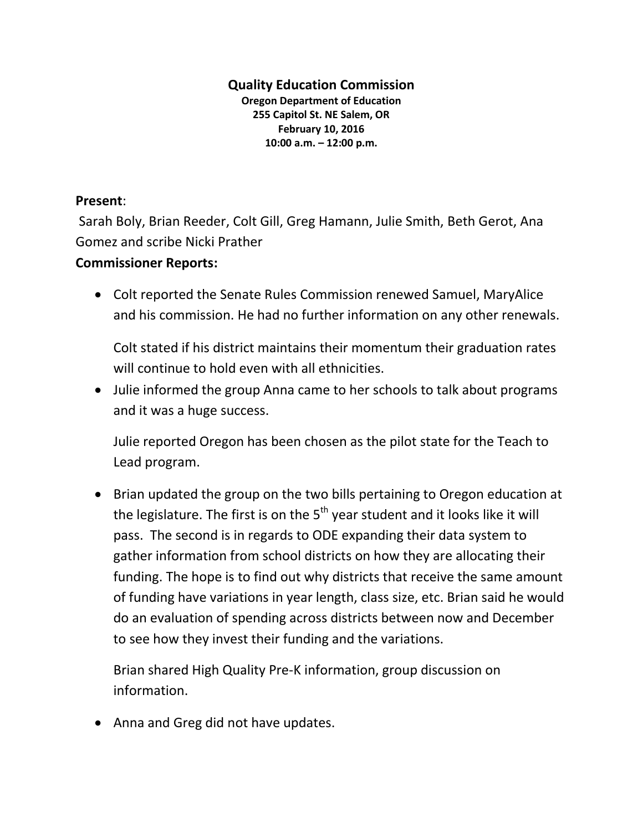## **Quality Education Commission**

**Oregon Department of Education 255 Capitol St. NE Salem, OR February 10, 2016 10:00 a.m. – 12:00 p.m.**

## **Present**:

Sarah Boly, Brian Reeder, Colt Gill, Greg Hamann, Julie Smith, Beth Gerot, Ana Gomez and scribe Nicki Prather

## **Commissioner Reports:**

 Colt reported the Senate Rules Commission renewed Samuel, MaryAlice and his commission. He had no further information on any other renewals.

Colt stated if his district maintains their momentum their graduation rates will continue to hold even with all ethnicities.

 Julie informed the group Anna came to her schools to talk about programs and it was a huge success.

Julie reported Oregon has been chosen as the pilot state for the Teach to Lead program.

 Brian updated the group on the two bills pertaining to Oregon education at the legislature. The first is on the  $5<sup>th</sup>$  year student and it looks like it will pass. The second is in regards to ODE expanding their data system to gather information from school districts on how they are allocating their funding. The hope is to find out why districts that receive the same amount of funding have variations in year length, class size, etc. Brian said he would do an evaluation of spending across districts between now and December to see how they invest their funding and the variations.

Brian shared High Quality Pre-K information, group discussion on information.

• Anna and Greg did not have updates.